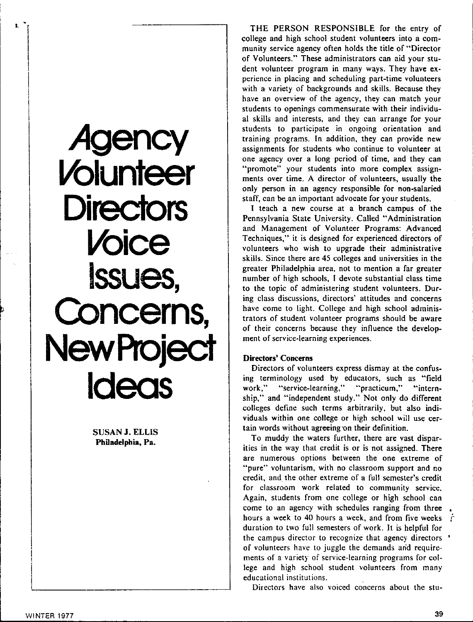

**SUSAN J. ELLIS Philadelphia, Pa.** 

THE PERSON RESPONSIBLE for the entry of college and high school student volunteers into a community service agency often holds the title of "Director of Volunteers." These administrators can aid your student volunteer program in many ways. They have experience in placing and scheduling part-time volunteers with a variety of backgrounds and skills. Because they have an overview of the agency, they can match your students to openings commensurate with their individual skills and interests, and they can arrange for your students to participate in ongoing orientation and training programs. In addition, they can provide new assignments for students who continue to volunteer at one agency over a long period of time, and they can "promote" your students into more complex assignments over time. A director of volunteers, usually the only person in an agency responsible for non-salaried staff, can be an important advocate for your students.

I teach a new course at a branch campus of the Pennsylvania State University. Called "Administration and Management of Volunteer Programs: Advanced Techniques," it is designed for experienced directors of volunteers who wish to upgrade their administrative skills. Since there are 45 colleges and universities in the greater Philadelphia area, not to mention a far greater number of high schools, I devote substantial class time to the topic of administering student volunteers. During class discussions, directors' attitudes and concerns have come to light. College and high school administrators of student volunteer programs should be **aware**  of their concerns because they influence the develop**ment of service-learning experiences.** 

## **Directors' Concerns**

Directors of volunteers express dismay at the confusing terminology used by educators, such as "field work," "service-learning," "practicum," "internship," and "independent study." Not only do different colleges define such terms arbitrarily. but also individuals within one college or high school will use certain words without agreeing on their definition.

To muddy the waters further, there are vast disparities in the way that credit is or is not assigned. There **are numerous options between the one extreme of ••pure" voluntarism, with no classroom support and no**  credit, and\_ the other extreme of a full semester's credit **for classroom work related to community service.**  Again, students from one college or high school can come to an agency with schedules ranging from three hours a week to 40 hours a week, and from five weeks duration to two full semesters of work. It is helpful for the campus director to recognize that agency directors of volunteers have to juggle the demands and requirements of a variety of service-learning programs for college and high school student volunteers from many **educational institutions.** 

**Directors have also voiced concerns about the stu-**

**L**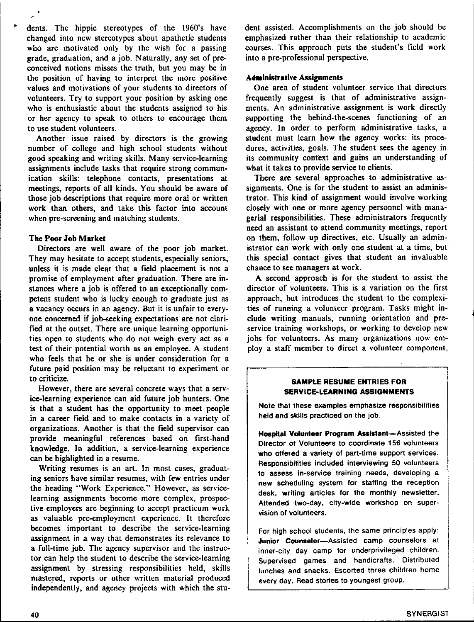dents. The hippie stereotypes of the 1960's have changed into new stereotypes about apathetic students who are motivated only by the wish for a passing grade, graduation, and a job. Naturally, any set of preconceived notions misses the truth, but you may be in the position of having to interpret the more positive values and motivations of your students to directors of volunteers. Try to support your position by asking one who is enthusiastic about the students assigned to his or her agency to speak to others to encourage them to use student volunteers.

Another issue raised by directors is the growing number of college and high school students without good speaking and writing skills. Many service-learning assignments include tasks that require strong communication skills: telephone contacts, presentations at meetings, reports of all kinds. You should be aware of those job descriptions that require more oral or written work than others, and take this factor into account when pre-screening and matching students.

### **The Poor Job Market**

Directors are well aware of the poor job market. They may hesitate to accept students, especially seniors, unless it is made clear that a field placement is not a promise of employment after graduation. There are instances where a job is offered to an exceptionally competent student who is lucky enough to graduate just as a vacancy occurs in an agency. But it is unfair to everyone concerned if job-seeking expectations are not clarified at the outset. There are unique learning opportunities open to students who do not weigh every act as a test of their potential worth as an employee. A student who feels that he or she is under consideration for a future paid position may be reluctant to experiment or to criticize.

**However, there are several concrete ways that a serv**ice-learning experience can aid future job hunters. One is that a student has the opportunity to meet people in a career field and to make contacts in a variety of organizations. Another is that the field supervisor can provide meaningful references based on first-hand knowledge. In addition, a service-learning experience can be highlighted in a resume.

Writing resumes is an art. In most cases, graduat**ing seniors have similar resumes, with few entries under**  the heading "Work Experience." However, as servicelearning assignments become more complex, prospective employers are beginning to accept practicum work as valuable pre-employment experience. It therefore becomes important to describe the service-learning assignment in a way that demonstrates its relevance to a full-time job. The agency supervisor and the instructor can help the student to describe the service-learning assignment by stressing responsibilities held, skills mastered, reports or other written material produced independently, and agency projects with which the student assisted. Accomplishments on the job should be emphasized rather than their relationship to academic courses. This approach puts the student's field work into a pre-professional perspective.

# **Administrative Assignments**

One area of student volunteer service that directors frequently suggest is that of administrative assignments. An administrative assignment is work directly supporting the behind-the-scenes functioning of an agency. In order to perform administrative tasks, a student must learn how the agency works: its procedures, activities, goals. The student sees the agency in its community context and gains an understanding of what it takes to provide service to clients.

There are several approaches to administrative assignments. One is for the student to assist an administrator. This kind of assignment would involve working closely with one or more agency personnel with managerial responsibilities. These administrators frequently need an assistant to attend community meetings, report on them, follow up directives, etc. Usually an administrator can work with only one student at a time, but this special contact gives that student an invaluable chance to see managers at work.

**A** second approach is for the student to assist the director of volunteers. This is a variation on the first approach, but introduces the student to the complexities of running a volunteer program. Tasks might include writing manuals, running orientation and preservice training workshops, or working to develop new jobs for volunteers. As many organizations now employ a staff member to direct a volunteer component,

## **SAMPLE RESUME ENTRIES FOR SERVICE-LEARNING ASSIGNMENTS**

**Note that these examples emphasize responsibilities**  held and skills practiced on the job.

**Hospital Volunteer Program Assistant-Assisted the Director of Volunteers to coordinate 156 volunteers who offered a variety of part-time support services. Responsibilities included interviewing 50 volunteers to assess in-service training needs, developing a new scheduling system for staffing the reception**  desk, writing articles for the monthly newsletter. Attended two-day, city-wide workshop on super**vision of volunteers.** 

For high school students, the same principles apply: **Junior Counselor-Assisted camp counselors at inner-city day camp for underprivileged children. Supervised games and handicrafts. Distributed lunches and snacks. Escorted three children home every day. Read stories to youngest group.**